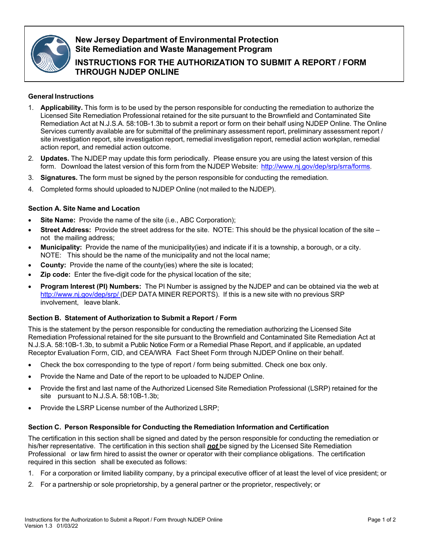

# **New Jersey Department of Environmental Protection Site Remediation and Waste Management Program**

**INSTRUCTIONS FOR THE AUTHORIZATION TO SUBMIT A REPORT / FORM THROUGH NJDEP ONLINE**

## **General Instructions**

- 1. **Applicability.** This form is to be used by the person responsible for conducting the remediation to authorize the Licensed Site Remediation Professional retained for the site pursuant to the Brownfield and Contaminated Site Remediation Act at N.J.S.A. 58:10B-1.3b to submit a report or form on their behalf using NJDEP Online. The Online Services currently available are for submittal of the preliminary assessment report, preliminary assessment report / site investigation report, site investigation report, remedial investigation report, remedial action workplan, remedial action report, and remedial action outcome.
- 2. **Updates.** The NJDEP may update this form periodically. Please ensure you are using the latest version of this form. Download the latest version of this form from the NJDEP Website: <http://www.nj.gov/dep/srp/srra/forms>[.](http://www.nj.gov/dep/srp/srra/forms)
- 3. **Signatures.** The form must be signed by the person responsible for conducting the remediation.
- 4. Completed forms should uploaded to NJDEP Online (not mailed to the NJDEP).

## **Section A. Site Name and Location**

- **Site Name:** Provide the name of the site (i.e., ABC Corporation);
- **Street Address:** Provide the street address for the site. NOTE: This should be the physical location of the site not the mailing address;
- **Municipality:** Provide the name of the municipality(ies) and indicate if it is a township, a borough, or a city. NOTE: This should be the name of the municipality and not the local name;
- **County:** Provide the name of the county(ies) where the site is located;
- **Zip code:** Enter the five-digit code for the physical location of the site;
- **Program Interest (PI) Numbers:** The PI Number is assigned by the NJDEP and can be obtained via the web at <http://www.nj.gov/dep/srp/> (DEP DATA MINER REPORTS). If this is a new site with no previous SRP involvement, leave blank.

### **Section B. Statement of Authorization to Submit a Report / Form**

This is the statement by the person responsible for conducting the remediation authorizing the Licensed Site Remediation Professional retained for the site pursuant to the Brownfield and Contaminated Site Remediation Act at N.J.S.A. 58:10B-1.3b, to submit a Public Notice Form or a Remedial Phase Report, and if applicable, an updated Receptor Evaluation Form, CID, and CEA/WRA Fact Sheet Form through NJDEP Online on their behalf.

- Check the box corresponding to the type of report / form being submitted. Check one box only.
- Provide the Name and Date of the report to be uploaded to NJDEP Online.
- Provide the first and last name of the Authorized Licensed Site Remediation Professional (LSRP) retained for the site pursuant to N.J.S.A. 58:10B-1.3b;
- Provide the LSRP License number of the Authorized LSRP;

### **Section C. Person Responsible for Conducting the Remediation Information and Certification**

The certification in this section shall be signed and dated by the person responsible for conducting the remediation or his/her representative. The certification in this section shall *not* be signed by the Licensed Site Remediation Professional or law firm hired to assist the owner or operator with their compliance obligations. The certification required in this section shall be executed as follows:

- 1. For a corporation or limited liability company, by a principal executive officer of at least the level of vice president; or
- 2. For a partnership or sole proprietorship, by a general partner or the proprietor, respectively; or